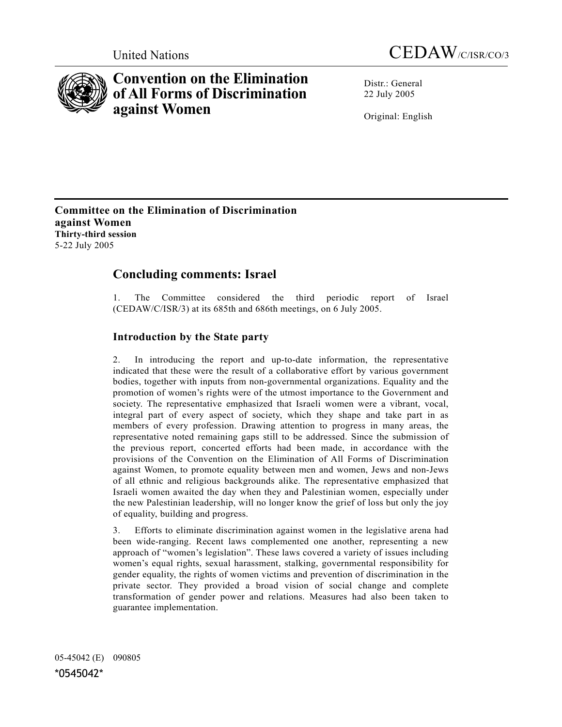



# **Convention on the Elimination of All Forms of Discrimination against Women**

Distr · General 22 July 2005

Original: English

**Committee on the Elimination of Discrimination against Women Thirty-third session**  5-22 July 2005

## **Concluding comments: Israel**

1. The Committee considered the third periodic report of Israel (CEDAW/C/ISR/3) at its 685th and 686th meetings, on 6 July 2005.

## **Introduction by the State party**

2. In introducing the report and up-to-date information, the representative indicated that these were the result of a collaborative effort by various government bodies, together with inputs from non-governmental organizations. Equality and the promotion of women's rights were of the utmost importance to the Government and society. The representative emphasized that Israeli women were a vibrant, vocal, integral part of every aspect of society, which they shape and take part in as members of every profession. Drawing attention to progress in many areas, the representative noted remaining gaps still to be addressed. Since the submission of the previous report, concerted efforts had been made, in accordance with the provisions of the Convention on the Elimination of All Forms of Discrimination against Women, to promote equality between men and women, Jews and non-Jews of all ethnic and religious backgrounds alike. The representative emphasized that Israeli women awaited the day when they and Palestinian women, especially under the new Palestinian leadership, will no longer know the grief of loss but only the joy of equality, building and progress.

3. Efforts to eliminate discrimination against women in the legislative arena had been wide-ranging. Recent laws complemented one another, representing a new approach of "women's legislation". These laws covered a variety of issues including women's equal rights, sexual harassment, stalking, governmental responsibility for gender equality, the rights of women victims and prevention of discrimination in the private sector. They provided a broad vision of social change and complete transformation of gender power and relations. Measures had also been taken to guarantee implementation.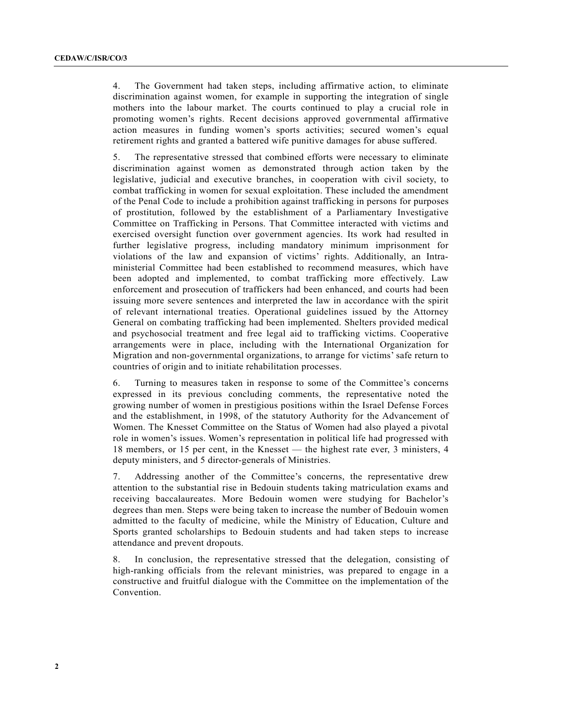4. The Government had taken steps, including affirmative action, to eliminate discrimination against women, for example in supporting the integration of single mothers into the labour market. The courts continued to play a crucial role in promoting women's rights. Recent decisions approved governmental affirmative action measures in funding women's sports activities; secured women's equal retirement rights and granted a battered wife punitive damages for abuse suffered.

5. The representative stressed that combined efforts were necessary to eliminate discrimination against women as demonstrated through action taken by the legislative, judicial and executive branches, in cooperation with civil society, to combat trafficking in women for sexual exploitation. These included the amendment of the Penal Code to include a prohibition against trafficking in persons for purposes of prostitution, followed by the establishment of a Parliamentary Investigative Committee on Trafficking in Persons. That Committee interacted with victims and exercised oversight function over government agencies. Its work had resulted in further legislative progress, including mandatory minimum imprisonment for violations of the law and expansion of victims' rights. Additionally, an Intraministerial Committee had been established to recommend measures, which have been adopted and implemented, to combat trafficking more effectively. Law enforcement and prosecution of traffickers had been enhanced, and courts had been issuing more severe sentences and interpreted the law in accordance with the spirit of relevant international treaties. Operational guidelines issued by the Attorney General on combating trafficking had been implemented. Shelters provided medical and psychosocial treatment and free legal aid to trafficking victims. Cooperative arrangements were in place, including with the International Organization for Migration and non-governmental organizations, to arrange for victims' safe return to countries of origin and to initiate rehabilitation processes.

6. Turning to measures taken in response to some of the Committee's concerns expressed in its previous concluding comments, the representative noted the growing number of women in prestigious positions within the Israel Defense Forces and the establishment, in 1998, of the statutory Authority for the Advancement of Women. The Knesset Committee on the Status of Women had also played a pivotal role in women's issues. Women's representation in political life had progressed with 18 members, or 15 per cent, in the Knesset — the highest rate ever, 3 ministers, 4 deputy ministers, and 5 director-generals of Ministries.

7. Addressing another of the Committee's concerns, the representative drew attention to the substantial rise in Bedouin students taking matriculation exams and receiving baccalaureates. More Bedouin women were studying for Bachelor's degrees than men. Steps were being taken to increase the number of Bedouin women admitted to the faculty of medicine, while the Ministry of Education, Culture and Sports granted scholarships to Bedouin students and had taken steps to increase attendance and prevent dropouts.

In conclusion, the representative stressed that the delegation, consisting of high-ranking officials from the relevant ministries, was prepared to engage in a constructive and fruitful dialogue with the Committee on the implementation of the Convention.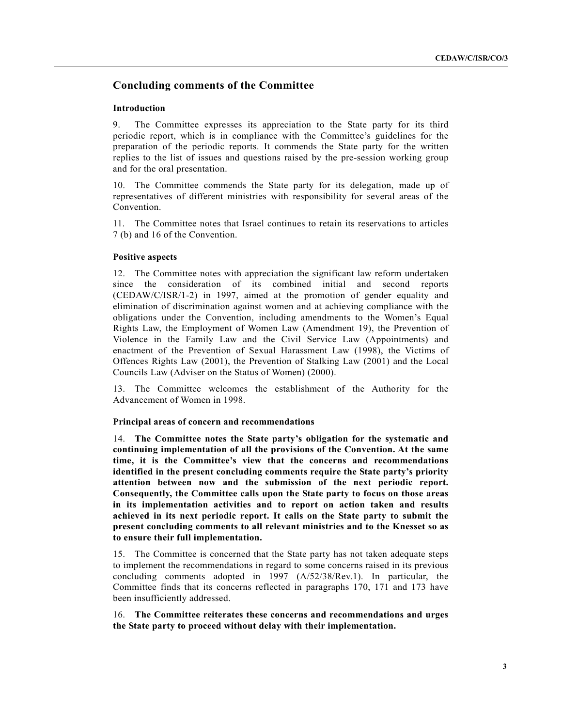## **Concluding comments of the Committee**

## **Introduction**

9. The Committee expresses its appreciation to the State party for its third periodic report, which is in compliance with the Committee's guidelines for the preparation of the periodic reports. It commends the State party for the written replies to the list of issues and questions raised by the pre-session working group and for the oral presentation.

10. The Committee commends the State party for its delegation, made up of representatives of different ministries with responsibility for several areas of the Convention.

11. The Committee notes that Israel continues to retain its reservations to articles 7 (b) and 16 of the Convention.

#### **Positive aspects**

12. The Committee notes with appreciation the significant law reform undertaken since the consideration of its combined initial and second reports (CEDAW/C/ISR/1-2) in 1997, aimed at the promotion of gender equality and elimination of discrimination against women and at achieving compliance with the obligations under the Convention, including amendments to the Women's Equal Rights Law, the Employment of Women Law (Amendment 19), the Prevention of Violence in the Family Law and the Civil Service Law (Appointments) and enactment of the Prevention of Sexual Harassment Law (1998), the Victims of Offences Rights Law (2001), the Prevention of Stalking Law (2001) and the Local Councils Law (Adviser on the Status of Women) (2000).

13. The Committee welcomes the establishment of the Authority for the Advancement of Women in 1998.

#### **Principal areas of concern and recommendations**

14. **The Committee notes the State party's obligation for the systematic and continuing implementation of all the provisions of the Convention. At the same time, it is the Committee's view that the concerns and recommendations identified in the present concluding comments require the State party's priority attention between now and the submission of the next periodic report. Consequently, the Committee calls upon the State party to focus on those areas in its implementation activities and to report on action taken and results achieved in its next periodic report. It calls on the State party to submit the present concluding comments to all relevant ministries and to the Knesset so as to ensure their full implementation.**

15. The Committee is concerned that the State party has not taken adequate steps to implement the recommendations in regard to some concerns raised in its previous concluding comments adopted in 1997 (A/52/38/Rev.1). In particular, the Committee finds that its concerns reflected in paragraphs 170, 171 and 173 have been insufficiently addressed.

16. **The Committee reiterates these concerns and recommendations and urges the State party to proceed without delay with their implementation.**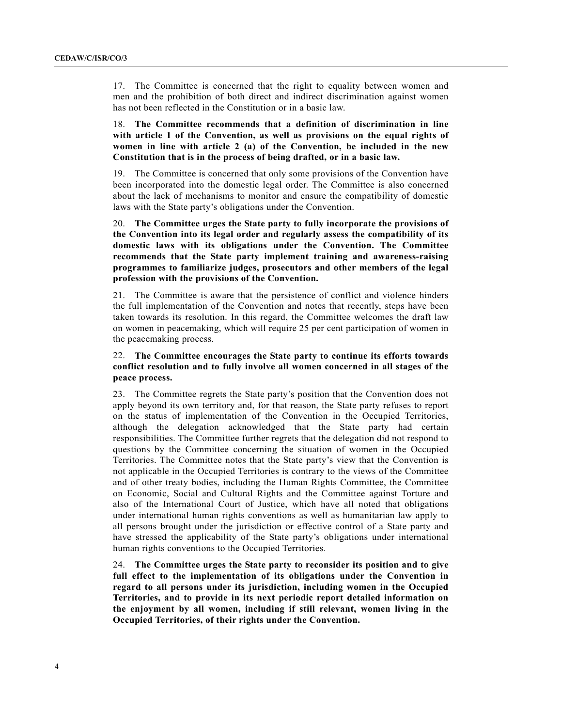17. The Committee is concerned that the right to equality between women and men and the prohibition of both direct and indirect discrimination against women has not been reflected in the Constitution or in a basic law.

18. **The Committee recommends that a definition of discrimination in line with article 1 of the Convention, as well as provisions on the equal rights of women in line with article 2 (a) of the Convention, be included in the new Constitution that is in the process of being drafted, or in a basic law.**

19. The Committee is concerned that only some provisions of the Convention have been incorporated into the domestic legal order. The Committee is also concerned about the lack of mechanisms to monitor and ensure the compatibility of domestic laws with the State party's obligations under the Convention.

20. **The Committee urges the State party to fully incorporate the provisions of the Convention into its legal order and regularly assess the compatibility of its domestic laws with its obligations under the Convention. The Committee recommends that the State party implement training and awareness-raising programmes to familiarize judges, prosecutors and other members of the legal profession with the provisions of the Convention.**

21. The Committee is aware that the persistence of conflict and violence hinders the full implementation of the Convention and notes that recently, steps have been taken towards its resolution. In this regard, the Committee welcomes the draft law on women in peacemaking, which will require 25 per cent participation of women in the peacemaking process.

## 22. **The Committee encourages the State party to continue its efforts towards conflict resolution and to fully involve all women concerned in all stages of the peace process.**

23. The Committee regrets the State party's position that the Convention does not apply beyond its own territory and, for that reason, the State party refuses to report on the status of implementation of the Convention in the Occupied Territories, although the delegation acknowledged that the State party had certain responsibilities. The Committee further regrets that the delegation did not respond to questions by the Committee concerning the situation of women in the Occupied Territories. The Committee notes that the State party's view that the Convention is not applicable in the Occupied Territories is contrary to the views of the Committee and of other treaty bodies, including the Human Rights Committee, the Committee on Economic, Social and Cultural Rights and the Committee against Torture and also of the International Court of Justice, which have all noted that obligations under international human rights conventions as well as humanitarian law apply to all persons brought under the jurisdiction or effective control of a State party and have stressed the applicability of the State party's obligations under international human rights conventions to the Occupied Territories.

24. **The Committee urges the State party to reconsider its position and to give full effect to the implementation of its obligations under the Convention in regard to all persons under its jurisdiction, including women in the Occupied Territories, and to provide in its next periodic report detailed information on the enjoyment by all women, including if still relevant, women living in the Occupied Territories, of their rights under the Convention.**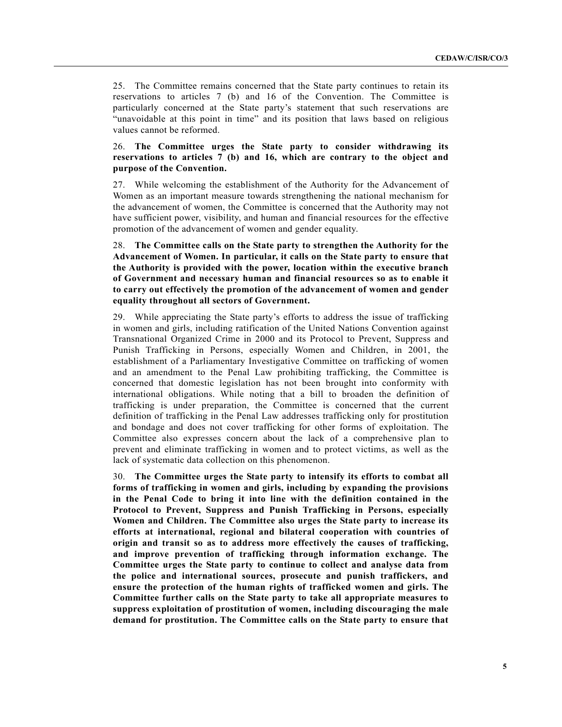25. The Committee remains concerned that the State party continues to retain its reservations to articles 7 (b) and 16 of the Convention. The Committee is particularly concerned at the State party's statement that such reservations are "unavoidable at this point in time" and its position that laws based on religious values cannot be reformed.

## 26. **The Committee urges the State party to consider withdrawing its reservations to articles 7 (b) and 16, which are contrary to the object and purpose of the Convention.**

27. While welcoming the establishment of the Authority for the Advancement of Women as an important measure towards strengthening the national mechanism for the advancement of women, the Committee is concerned that the Authority may not have sufficient power, visibility, and human and financial resources for the effective promotion of the advancement of women and gender equality.

28. **The Committee calls on the State party to strengthen the Authority for the Advancement of Women. In particular, it calls on the State party to ensure that the Authority is provided with the power, location within the executive branch of Government and necessary human and financial resources so as to enable it to carry out effectively the promotion of the advancement of women and gender equality throughout all sectors of Government.**

29. While appreciating the State party's efforts to address the issue of trafficking in women and girls, including ratification of the United Nations Convention against Transnational Organized Crime in 2000 and its Protocol to Prevent, Suppress and Punish Trafficking in Persons, especially Women and Children, in 2001, the establishment of a Parliamentary Investigative Committee on trafficking of women and an amendment to the Penal Law prohibiting trafficking, the Committee is concerned that domestic legislation has not been brought into conformity with international obligations. While noting that a bill to broaden the definition of trafficking is under preparation, the Committee is concerned that the current definition of trafficking in the Penal Law addresses trafficking only for prostitution and bondage and does not cover trafficking for other forms of exploitation. The Committee also expresses concern about the lack of a comprehensive plan to prevent and eliminate trafficking in women and to protect victims, as well as the lack of systematic data collection on this phenomenon.

30. **The Committee urges the State party to intensify its efforts to combat all forms of trafficking in women and girls, including by expanding the provisions in the Penal Code to bring it into line with the definition contained in the Protocol to Prevent, Suppress and Punish Trafficking in Persons, especially Women and Children. The Committee also urges the State party to increase its efforts at international, regional and bilateral cooperation with countries of origin and transit so as to address more effectively the causes of trafficking, and improve prevention of trafficking through information exchange. The Committee urges the State party to continue to collect and analyse data from the police and international sources, prosecute and punish traffickers, and ensure the protection of the human rights of trafficked women and girls. The Committee further calls on the State party to take all appropriate measures to suppress exploitation of prostitution of women, including discouraging the male demand for prostitution. The Committee calls on the State party to ensure that**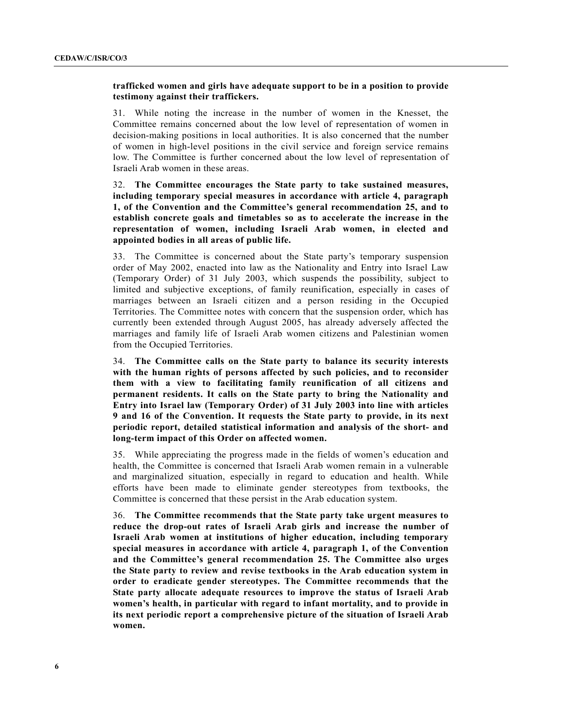### **trafficked women and girls have adequate support to be in a position to provide testimony against their traffickers.**

31. While noting the increase in the number of women in the Knesset, the Committee remains concerned about the low level of representation of women in decision-making positions in local authorities. It is also concerned that the number of women in high-level positions in the civil service and foreign service remains low. The Committee is further concerned about the low level of representation of Israeli Arab women in these areas.

32. **The Committee encourages the State party to take sustained measures, including temporary special measures in accordance with article 4, paragraph 1, of the Convention and the Committee's general recommendation 25, and to establish concrete goals and timetables so as to accelerate the increase in the representation of women, including Israeli Arab women, in elected and appointed bodies in all areas of public life.**

33. The Committee is concerned about the State party's temporary suspension order of May 2002, enacted into law as the Nationality and Entry into Israel Law (Temporary Order) of 31 July 2003, which suspends the possibility, subject to limited and subjective exceptions, of family reunification, especially in cases of marriages between an Israeli citizen and a person residing in the Occupied Territories. The Committee notes with concern that the suspension order, which has currently been extended through August 2005, has already adversely affected the marriages and family life of Israeli Arab women citizens and Palestinian women from the Occupied Territories.

34. **The Committee calls on the State party to balance its security interests with the human rights of persons affected by such policies, and to reconsider them with a view to facilitating family reunification of all citizens and permanent residents. It calls on the State party to bring the Nationality and Entry into Israel law (Temporary Order) of 31 July 2003 into line with articles 9 and 16 of the Convention. It requests the State party to provide, in its next periodic report, detailed statistical information and analysis of the short- and long-term impact of this Order on affected women.**

35. While appreciating the progress made in the fields of women's education and health, the Committee is concerned that Israeli Arab women remain in a vulnerable and marginalized situation, especially in regard to education and health. While efforts have been made to eliminate gender stereotypes from textbooks, the Committee is concerned that these persist in the Arab education system.

36. **The Committee recommends that the State party take urgent measures to reduce the drop-out rates of Israeli Arab girls and increase the number of Israeli Arab women at institutions of higher education, including temporary special measures in accordance with article 4, paragraph 1, of the Convention and the Committee's general recommendation 25. The Committee also urges the State party to review and revise textbooks in the Arab education system in order to eradicate gender stereotypes. The Committee recommends that the State party allocate adequate resources to improve the status of Israeli Arab women's health, in particular with regard to infant mortality, and to provide in its next periodic report a comprehensive picture of the situation of Israeli Arab women.**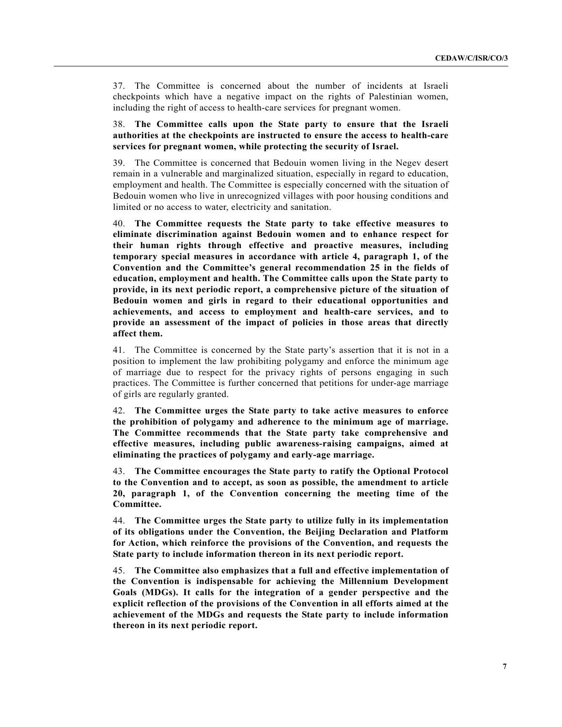37. The Committee is concerned about the number of incidents at Israeli checkpoints which have a negative impact on the rights of Palestinian women, including the right of access to health-care services for pregnant women.

## 38. **The Committee calls upon the State party to ensure that the Israeli authorities at the checkpoints are instructed to ensure the access to health-care services for pregnant women, while protecting the security of Israel.**

39. The Committee is concerned that Bedouin women living in the Negev desert remain in a vulnerable and marginalized situation, especially in regard to education, employment and health. The Committee is especially concerned with the situation of Bedouin women who live in unrecognized villages with poor housing conditions and limited or no access to water, electricity and sanitation.

40. **The Committee requests the State party to take effective measures to eliminate discrimination against Bedouin women and to enhance respect for their human rights through effective and proactive measures, including temporary special measures in accordance with article 4, paragraph 1, of the Convention and the Committee's general recommendation 25 in the fields of education, employment and health. The Committee calls upon the State party to provide, in its next periodic report, a comprehensive picture of the situation of Bedouin women and girls in regard to their educational opportunities and achievements, and access to employment and health-care services, and to provide an assessment of the impact of policies in those areas that directly affect them.**

41. The Committee is concerned by the State party's assertion that it is not in a position to implement the law prohibiting polygamy and enforce the minimum age of marriage due to respect for the privacy rights of persons engaging in such practices. The Committee is further concerned that petitions for under-age marriage of girls are regularly granted.

42. **The Committee urges the State party to take active measures to enforce the prohibition of polygamy and adherence to the minimum age of marriage. The Committee recommends that the State party take comprehensive and effective measures, including public awareness-raising campaigns, aimed at eliminating the practices of polygamy and early-age marriage.**

43. **The Committee encourages the State party to ratify the Optional Protocol to the Convention and to accept, as soon as possible, the amendment to article 20, paragraph 1, of the Convention concerning the meeting time of the Committee.** 

44. **The Committee urges the State party to utilize fully in its implementation of its obligations under the Convention, the Beijing Declaration and Platform for Action, which reinforce the provisions of the Convention, and requests the State party to include information thereon in its next periodic report.** 

45. **The Committee also emphasizes that a full and effective implementation of the Convention is indispensable for achieving the Millennium Development Goals (MDGs). It calls for the integration of a gender perspective and the explicit reflection of the provisions of the Convention in all efforts aimed at the achievement of the MDGs and requests the State party to include information thereon in its next periodic report.**